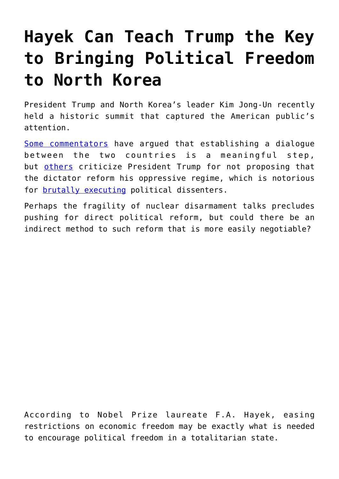## **[Hayek Can Teach Trump the Key](https://intellectualtakeout.org/2018/06/hayek-can-teach-trump-the-key-to-bringing-political-freedom-to-north-korea/) [to Bringing Political Freedom](https://intellectualtakeout.org/2018/06/hayek-can-teach-trump-the-key-to-bringing-political-freedom-to-north-korea/) [to North Korea](https://intellectualtakeout.org/2018/06/hayek-can-teach-trump-the-key-to-bringing-political-freedom-to-north-korea/)**

President Trump and North Korea's leader Kim Jong-Un recently held a historic summit that captured the American public's attention.

[Some commentators](https://www.cnbc.com/2018/06/11/ex-obama-ambassador-to-singapore-trump-kim-summit-very-good-thing.html) have argued that establishing a dialogue between the two countries is a meaningful step, but [others](http://www.chicagotribune.com/news/nationworld/politics/ct-trump-kim-jong-un-20180615-story.html) criticize President Trump for not proposing that the dictator reform his oppressive regime, which is notorious for [brutally executing](https://www.nytimes.com/2016/03/13/world/asia/north-korea-executions-jang-song-thaek.html) political dissenters.

Perhaps the fragility of nuclear disarmament talks precludes pushing for direct political reform, but could there be an indirect method to such reform that is more easily negotiable?

According to Nobel Prize laureate F.A. Hayek, easing restrictions on economic freedom may be exactly what is needed to encourage political freedom in a totalitarian state.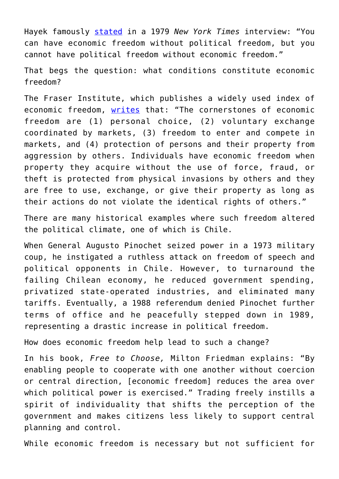Hayek famously [stated](https://www.nytimes.com/1979/05/07/archives/new-vogue-for-critic-of-keynes-von-hayek-still-abhors-big.html) in a 1979 *New York Times* interview: "You can have economic freedom without political freedom, but you cannot have political freedom without economic freedom."

That begs the question: what conditions constitute economic freedom?

The Fraser Institute, which publishes a widely used index of economic freedom, [writes](https://www.fraserinstitute.org/economic-freedom/approach) that: "The cornerstones of economic freedom are (1) personal choice, (2) voluntary exchange coordinated by markets, (3) freedom to enter and compete in markets, and (4) protection of persons and their property from aggression by others. Individuals have economic freedom when property they acquire without the use of force, fraud, or theft is protected from physical invasions by others and they are free to use, exchange, or give their property as long as their actions do not violate the identical rights of others."

There are many historical examples where such freedom altered the political climate, one of which is Chile.

When General Augusto Pinochet seized power in a 1973 military coup, he instigated a ruthless attack on freedom of speech and political opponents in Chile. However, to turnaround the failing Chilean economy, he reduced government spending, privatized state-operated industries, and eliminated many tariffs. Eventually, a 1988 referendum denied Pinochet further terms of office and he peacefully stepped down in 1989, representing a drastic increase in political freedom.

How does economic freedom help lead to such a change?

In his book, *Free to Choose,* Milton Friedman explains: "By enabling people to cooperate with one another without coercion or central direction, [economic freedom] reduces the area over which political power is exercised." Trading freely instills a spirit of individuality that shifts the perception of the government and makes citizens less likely to support central planning and control.

While economic freedom is necessary but not sufficient for